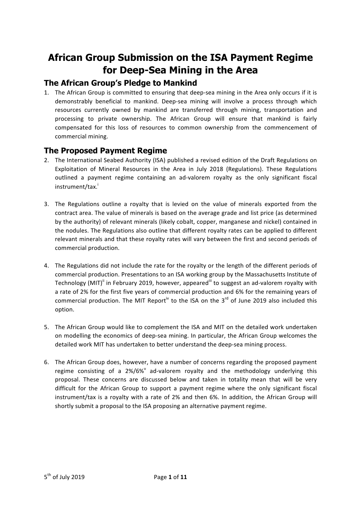# **African Group Submission on the ISA Payment Regime for Deep-Sea Mining in the Area**

## **The African Group's Pledge to Mankind**

1. The African Group is committed to ensuring that deep-sea mining in the Area only occurs if it is demonstrably beneficial to mankind. Deep-sea mining will involve a process through which resources currently owned by mankind are transferred through mining, transportation and processing to private ownership. The African Group will ensure that mankind is fairly compensated for this loss of resources to common ownership from the commencement of commercial mining.

## **The Proposed Payment Regime**

- 2. The International Seabed Authority (ISA) published a revised edition of the Draft Regulations on Exploitation of Mineral Resources in the Area in July 2018 (Regulations). These Regulations outlined a payment regime containing an ad-valorem royalty as the only significant fiscal instrument/tax.<sup>i</sup>
- 3. The Regulations outline a royalty that is levied on the value of minerals exported from the contract area. The value of minerals is based on the average grade and list price (as determined by the authority) of relevant minerals (likely cobalt, copper, manganese and nickel) contained in the nodules. The Regulations also outline that different royalty rates can be applied to different relevant minerals and that these royalty rates will vary between the first and second periods of commercial production.
- 4. The Regulations did not include the rate for the royalty or the length of the different periods of commercial production. Presentations to an ISA working group by the Massachusetts Institute of Technology (MIT)<sup>ii</sup> in February 2019, however, appeared<sup>iii</sup> to suggest an ad-valorem royalty with a rate of 2% for the first five years of commercial production and 6% for the remaining years of commercial production. The MIT Report<sup>iv</sup> to the ISA on the  $3<sup>rd</sup>$  of June 2019 also included this option.
- 5. The African Group would like to complement the ISA and MIT on the detailed work undertaken on modelling the economics of deep-sea mining. In particular, the African Group welcomes the detailed work MIT has undertaken to better understand the deep-sea mining process.
- 6. The African Group does, however, have a number of concerns regarding the proposed payment regime consisting of a  $2\%/6\%$  ad-valorem royalty and the methodology underlying this proposal. These concerns are discussed below and taken in totality mean that will be very difficult for the African Group to support a payment regime where the only significant fiscal instrument/tax is a royalty with a rate of 2% and then 6%. In addition, the African Group will shortly submit a proposal to the ISA proposing an alternative payment regime.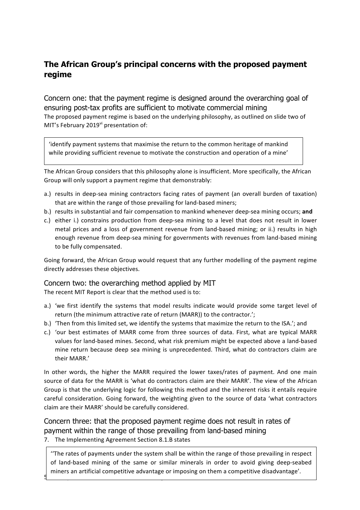# **The African Group's principal concerns with the proposed payment regime**

Concern one: that the payment regime is designed around the overarching goal of ensuring post-tax profits are sufficient to motivate commercial mining The proposed payment regime is based on the underlying philosophy, as outlined on slide two of MIT's February 2019<sup>vi</sup> presentation of:

'identify payment systems that maximise the return to the common heritage of mankind while providing sufficient revenue to motivate the construction and operation of a mine'

The African Group considers that this philosophy alone is insufficient. More specifically, the African Group will only support a payment regime that demonstrably:

- a.) results in deep-sea mining contractors facing rates of payment (an overall burden of taxation) that are within the range of those prevailing for land-based miners;
- b.) results in substantial and fair compensation to mankind whenever deep-sea mining occurs; and
- c.) either i.) constrains production from deep-sea mining to a level that does not result in lower metal prices and a loss of government revenue from land-based mining; or ii.) results in high enough revenue from deep-sea mining for governments with revenues from land-based mining to be fully compensated.

Going forward, the African Group would request that any further modelling of the payment regime directly addresses these objectives.

#### Concern two: the overarching method applied by MIT

The recent MIT Report is clear that the method used is to:

- a.) 'we first identify the systems that model results indicate would provide some target level of return (the minimum attractive rate of return (MARR)) to the contractor.';
- b.) Then from this limited set, we identify the systems that maximize the return to the ISA.'; and
- c.) 'our best estimates of MARR come from three sources of data. First, what are typical MARR values for land-based mines. Second, what risk premium might be expected above a land-based mine return because deep sea mining is unprecedented. Third, what do contractors claim are their MARR.'

In other words, the higher the MARR required the lower taxes/rates of payment. And one main source of data for the MARR is 'what do contractors claim are their MARR'. The view of the African Group is that the underlying logic for following this method and the inherent risks it entails require careful consideration. Going forward, the weighting given to the source of data 'what contractors claim are their MARR' should be carefully considered.

## Concern three: that the proposed payment regime does not result in rates of payment within the range of those prevailing from land-based mining

7. The Implementing Agreement Section 8.1.B states

**numers** an artificial competitive advantage or imposing on them a competitive disadvantage'.<br>Example 1201 and the magnetic and them are competitive disadvantage'. "The rates of payments under the system shall be within the range of those prevailing in respect of land-based mining of the same or similar minerals in order to avoid giving deep-seabed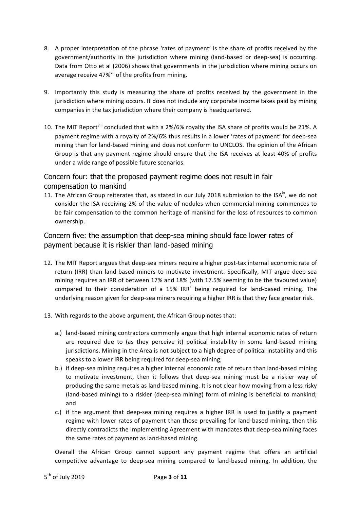- 8. A proper interpretation of the phrase 'rates of payment' is the share of profits received by the government/authority in the jurisdiction where mining (land-based or deep-sea) is occurring. Data from Otto et al (2006) shows that governments in the jurisdiction where mining occurs on average receive  $47\%$ <sup>vii</sup> of the profits from mining.
- 9. Importantly this study is measuring the share of profits received by the government in the jurisdiction where mining occurs. It does not include any corporate income taxes paid by mining companies in the tax jurisdiction where their company is headquartered.
- 10. The MIT Report<sup>viii</sup> concluded that with a 2%/6% royalty the ISA share of profits would be 21%. A payment regime with a royalty of 2%/6% thus results in a lower 'rates of payment' for deep-sea mining than for land-based mining and does not conform to UNCLOS. The opinion of the African Group is that any payment regime should ensure that the ISA receives at least 40% of profits under a wide range of possible future scenarios.

## Concern four: that the proposed payment regime does not result in fair compensation to mankind

11. The African Group reiterates that, as stated in our July 2018 submission to the ISA<sup>ix</sup>, we do not consider the ISA receiving 2% of the value of nodules when commercial mining commences to be fair compensation to the common heritage of mankind for the loss of resources to common ownership.

## Concern five: the assumption that deep-sea mining should face lower rates of payment because it is riskier than land-based mining

- 12. The MIT Report argues that deep-sea miners require a higher post-tax internal economic rate of return (IRR) than land-based miners to motivate investment. Specifically, MIT argue deep-sea mining requires an IRR of between 17% and 18% (with 17.5% seeming to be the favoured value) compared to their consideration of a 15% IRR<sup>x</sup> being required for land-based mining. The underlying reason given for deep-sea miners requiring a higher IRR is that they face greater risk.
- 13. With regards to the above argument, the African Group notes that:
	- a.) land-based mining contractors commonly argue that high internal economic rates of return are required due to (as they perceive it) political instability in some land-based mining jurisdictions. Mining in the Area is not subject to a high degree of political instability and this speaks to a lower IRR being required for deep-sea mining;
	- b.) if deep-sea mining requires a higher internal economic rate of return than land-based mining to motivate investment, then it follows that deep-sea mining must be a riskier way of producing the same metals as land-based mining. It is not clear how moving from a less risky (land-based mining) to a riskier (deep-sea mining) form of mining is beneficial to mankind; and
	- c.) if the argument that deep-sea mining requires a higher IRR is used to justify a payment regime with lower rates of payment than those prevailing for land-based mining, then this directly contradicts the Implementing Agreement with mandates that deep-sea mining faces the same rates of payment as land-based mining.

Overall the African Group cannot support any payment regime that offers an artificial competitive advantage to deep-sea mining compared to land-based mining. In addition, the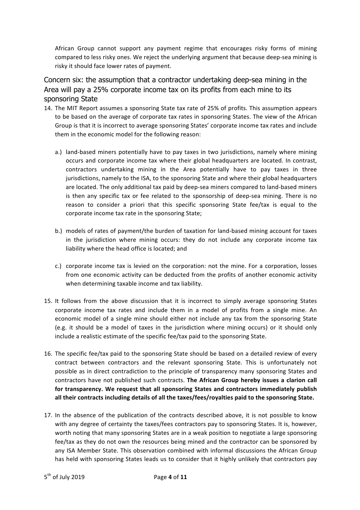African Group cannot support any payment regime that encourages risky forms of mining compared to less risky ones. We reject the underlying argument that because deep-sea mining is risky it should face lower rates of payment.

Concern six: the assumption that a contractor undertaking deep-sea mining in the Area will pay a 25% corporate income tax on its profits from each mine to its sponsoring State

- 14. The MIT Report assumes a sponsoring State tax rate of 25% of profits. This assumption appears to be based on the average of corporate tax rates in sponsoring States. The view of the African Group is that it is incorrect to average sponsoring States' corporate income tax rates and include them in the economic model for the following reason:
	- a.) land-based miners potentially have to pay taxes in two jurisdictions, namely where mining occurs and corporate income tax where their global headquarters are located. In contrast, contractors undertaking mining in the Area potentially have to pay taxes in three jurisdictions, namely to the ISA, to the sponsoring State and where their global headquarters are located. The only additional tax paid by deep-sea miners compared to land-based miners is then any specific tax or fee related to the sponsorship of deep-sea mining. There is no reason to consider a priori that this specific sponsoring State fee/tax is equal to the corporate income tax rate in the sponsoring State;
	- b.) models of rates of payment/the burden of taxation for land-based mining account for taxes in the jurisdiction where mining occurs: they do not include any corporate income tax liability where the head office is located; and
	- c.) corporate income tax is levied on the corporation: not the mine. For a corporation, losses from one economic activity can be deducted from the profits of another economic activity when determining taxable income and tax liability.
- 15. It follows from the above discussion that it is incorrect to simply average sponsoring States corporate income tax rates and include them in a model of profits from a single mine. An economic model of a single mine should either not include any tax from the sponsoring State (e.g. it should be a model of taxes in the jurisdiction where mining occurs) or it should only include a realistic estimate of the specific fee/tax paid to the sponsoring State.
- 16. The specific fee/tax paid to the sponsoring State should be based on a detailed review of every contract between contractors and the relevant sponsoring State. This is unfortunately not possible as in direct contradiction to the principle of transparency many sponsoring States and contractors have not published such contracts. The African Group hereby issues a clarion call for transparency. We request that all sponsoring States and contractors immediately publish all their contracts including details of all the taxes/fees/royalties paid to the sponsoring State.
- 17. In the absence of the publication of the contracts described above, it is not possible to know with any degree of certainty the taxes/fees contractors pay to sponsoring States. It is, however, worth noting that many sponsoring States are in a weak position to negotiate a large sponsoring fee/tax as they do not own the resources being mined and the contractor can be sponsored by any ISA Member State. This observation combined with informal discussions the African Group has held with sponsoring States leads us to consider that it highly unlikely that contractors pay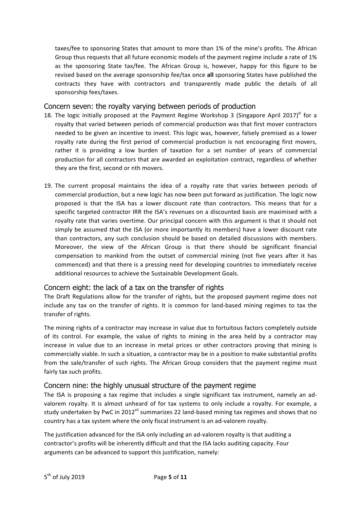taxes/fee to sponsoring States that amount to more than 1% of the mine's profits. The African Group thus requests that all future economic models of the payment regime include a rate of 1% as the sponsoring State tax/fee. The African Group is, however, happy for this figure to be revised based on the average sponsorship fee/tax once all sponsoring States have published the contracts they have with contractors and transparently made public the details of all sponsorship fees/taxes.

#### Concern seven: the royalty varying between periods of production

- 18. The logic initially proposed at the Payment Regime Workshop 3 (Singapore April 2017)<sup>xi</sup> for a royalty that varied between periods of commercial production was that first mover contractors needed to be given an incentive to invest. This logic was, however, falsely premised as a lower royalty rate during the first period of commercial production is not encouraging first movers, rather it is providing a low burden of taxation for a set number of years of commercial production for all contractors that are awarded an exploitation contract, regardless of whether they are the first, second or nth movers.
- 19. The current proposal maintains the idea of a royalty rate that varies between periods of commercial production, but a new logic has now been put forward as justification. The logic now proposed is that the ISA has a lower discount rate than contractors. This means that for a specific targeted contractor IRR the ISA's revenues on a discounted basis are maximised with a royalty rate that varies overtime. Our principal concern with this argument is that it should not simply be assumed that the ISA (or more importantly its members) have a lower discount rate than contractors, any such conclusion should be based on detailed discussions with members. Moreover, the view of the African Group is that there should be significant financial compensation to mankind from the outset of commercial mining (not five years after it has commenced) and that there is a pressing need for developing countries to immediately receive additional resources to achieve the Sustainable Development Goals.

#### Concern eight: the lack of a tax on the transfer of rights

The Draft Regulations allow for the transfer of rights, but the proposed payment regime does not include any tax on the transfer of rights. It is common for land-based mining regimes to tax the transfer of rights.

The mining rights of a contractor may increase in value due to fortuitous factors completely outside of its control. For example, the value of rights to mining in the area held by a contractor may increase in value due to an increase in metal prices or other contractors proving that mining is commercially viable. In such a situation, a contractor may be in a position to make substantial profits from the sale/transfer of such rights. The African Group considers that the payment regime must fairly tax such profits.

#### Concern nine: the highly unusual structure of the payment regime

The ISA is proposing a tax regime that includes a single significant tax instrument, namely an advalorem royalty. It is almost unheard of for tax systems to only include a royalty. For example, a study undertaken by PwC in 2012<sup>xii</sup> summarizes 22 land-based mining tax regimes and shows that no country has a tax system where the only fiscal instrument is an ad-valorem royalty.

The justification advanced for the ISA only including an ad-valorem royalty is that auditing a contractor's profits will be inherently difficult and that the ISA lacks auditing capacity. Four arguments can be advanced to support this justification, namely: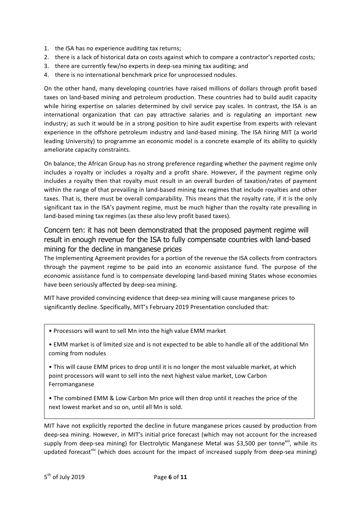- 1. the ISA has no experience auditing tax returns;
- 2. there is a lack of historical data on costs against which to compare a contractor's reported costs;
- 3. there are currently few/no experts in deep-sea mining tax auditing; and
- 4. there is no international benchmark price for unprocessed nodules.

On the other hand, many developing countries have raised millions of dollars through profit based taxes on land-based mining and petroleum production. These countries had to build audit capacity while hiring expertise on salaries determined by civil service pay scales. In contrast, the ISA is an international organization that can pay attractive salaries and is regulating an important new industry; as such it would be in a strong position to hire audit expertise from experts with relevant experience in the offshore petroleum industry and land-based mining. The ISA hiring MIT (a world leading University) to programme an economic model is a concrete example of its ability to quickly ameliorate capacity constraints.

On balance, the African Group has no strong preference regarding whether the payment regime only includes a royalty or includes a royalty and a profit share. However, if the payment regime only includes a royalty then that royalty must result in an overall burden of taxation/rates of payment within the range of that prevailing in land-based mining tax regimes that include royalties and other taxes. That is, there must be overall comparability. This means that the royalty rate, if it is the only significant tax in the ISA's payment regime, must be much higher than the royalty rate prevailing in land-based mining tax regimes (as these also levy profit based taxes).

## Concern ten: it has not been demonstrated that the proposed payment regime will result in enough revenue for the ISA to fully compensate countries with land-based mining for the decline in manganese prices

The Implementing Agreement provides for a portion of the revenue the ISA collects from contractors through the payment regime to be paid into an economic assistance fund. The purpose of the economic assistance fund is to compensate developing land-based mining States whose economies have been seriously affected by deep-sea mining.

MIT have provided convincing evidence that deep-sea mining will cause manganese prices to significantly decline. Specifically, MIT's February 2019 Presentation concluded that:

• Processors will want to sell Mn into the high value EMM market

• EMM market is of limited size and is not expected to be able to handle all of the additional Mn coming from nodules

• This will cause EMM prices to drop until it is no longer the most valuable market, at which point processors will want to sell into the next highest value market, Low Carbon Ferromanganese

• The combined EMM & Low Carbon Mn price will then drop until it reaches the price of the next lowest market and so on, until all Mn is sold.

MIT have not explicitly reported the decline in future manganese prices caused by production from deep-sea mining. However, in MIT's initial price forecast (which may not account for the increased supply from deep-sea mining) for Electrolytic Manganese Metal was \$3,500 per tonne<sup>xiii</sup>, while its updated forecast<sup>xiv</sup> (which does account for the impact of increased supply from deep-sea mining)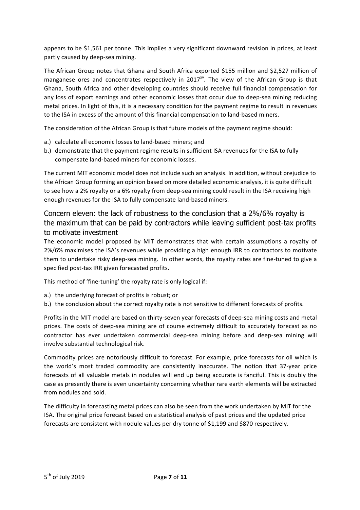appears to be \$1,561 per tonne. This implies a very significant downward revision in prices, at least partly caused by deep-sea mining.

The African Group notes that Ghana and South Africa exported \$155 million and \$2,527 million of manganese ores and concentrates respectively in  $2017<sup>xy</sup>$ . The view of the African Group is that Ghana, South Africa and other developing countries should receive full financial compensation for any loss of export earnings and other economic losses that occur due to deep-sea mining reducing metal prices. In light of this, it is a necessary condition for the payment regime to result in revenues to the ISA in excess of the amount of this financial compensation to land-based miners.

The consideration of the African Group is that future models of the payment regime should:

- a.) calculate all economic losses to land-based miners; and
- b.) demonstrate that the payment regime results in sufficient ISA revenues for the ISA to fully compensate land-based miners for economic losses.

The current MIT economic model does not include such an analysis. In addition, without prejudice to the African Group forming an opinion based on more detailed economic analysis, it is quite difficult to see how a 2% royalty or a 6% royalty from deep-sea mining could result in the ISA receiving high enough revenues for the ISA to fully compensate land-based miners.

## Concern eleven: the lack of robustness to the conclusion that a 2%/6% royalty is the maximum that can be paid by contractors while leaving sufficient post-tax profits to motivate investment

The economic model proposed by MIT demonstrates that with certain assumptions a royalty of 2%/6% maximises the ISA's revenues while providing a high enough IRR to contractors to motivate them to undertake risky deep-sea mining. In other words, the royalty rates are fine-tuned to give a specified post-tax IRR given forecasted profits.

This method of 'fine-tuning' the royalty rate is only logical if:

- a.) the underlying forecast of profits is robust; or
- b.) the conclusion about the correct royalty rate is not sensitive to different forecasts of profits.

Profits in the MIT model are based on thirty-seven year forecasts of deep-sea mining costs and metal prices. The costs of deep-sea mining are of course extremely difficult to accurately forecast as no contractor has ever undertaken commercial deep-sea mining before and deep-sea mining will involve substantial technological risk.

Commodity prices are notoriously difficult to forecast. For example, price forecasts for oil which is the world's most traded commodity are consistently inaccurate. The notion that 37-year price forecasts of all valuable metals in nodules will end up being accurate is fanciful. This is doubly the case as presently there is even uncertainty concerning whether rare earth elements will be extracted from nodules and sold.

The difficulty in forecasting metal prices can also be seen from the work undertaken by MIT for the ISA. The original price forecast based on a statistical analysis of past prices and the updated price forecasts are consistent with nodule values per dry tonne of \$1,199 and \$870 respectively.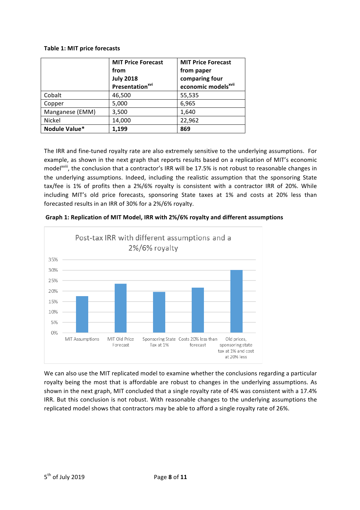#### **Table 1: MIT price forecasts**

|                 | <b>MIT Price Forecast</b><br>from<br><b>July 2018</b><br>Presentation <sup>xvi</sup> | <b>MIT Price Forecast</b><br>from paper<br>comparing four<br>economic models <sup>xvii</sup> |  |
|-----------------|--------------------------------------------------------------------------------------|----------------------------------------------------------------------------------------------|--|
| Cobalt          | 46,500                                                                               | 55,535                                                                                       |  |
| Copper          | 5,000                                                                                | 6,965                                                                                        |  |
| Manganese (EMM) | 3,500                                                                                | 1,640                                                                                        |  |
| Nickel          | 14,000                                                                               | 22,962                                                                                       |  |
| Nodule Value*   | 1,199                                                                                | 869                                                                                          |  |

The IRR and fine-tuned royalty rate are also extremely sensitive to the underlying assumptions. For example, as shown in the next graph that reports results based on a replication of MIT's economic model<sup>xviii</sup>, the conclusion that a contractor's IRR will be 17.5% is not robust to reasonable changes in the underlying assumptions. Indeed, including the realistic assumption that the sponsoring State tax/fee is 1% of profits then a 2%/6% royalty is consistent with a contractor IRR of 20%. While including MIT's old price forecasts, sponsoring State taxes at 1% and costs at 20% less than forecasted results in an IRR of 30% for a 2%/6% royalty.



Graph 1: Replication of MIT Model, IRR with 2%/6% royalty and different assumptions

We can also use the MIT replicated model to examine whether the conclusions regarding a particular royalty being the most that is affordable are robust to changes in the underlying assumptions. As shown in the next graph, MIT concluded that a single royalty rate of 4% was consistent with a 17.4% IRR. But this conclusion is not robust. With reasonable changes to the underlying assumptions the replicated model shows that contractors may be able to afford a single royalty rate of 26%.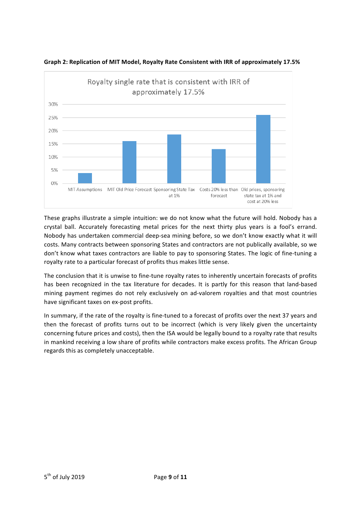



These graphs illustrate a simple intuition: we do not know what the future will hold. Nobody has a crystal ball. Accurately forecasting metal prices for the next thirty plus years is a fool's errand. Nobody has undertaken commercial deep-sea mining before, so we don't know exactly what it will costs. Many contracts between sponsoring States and contractors are not publically available, so we don't know what taxes contractors are liable to pay to sponsoring States. The logic of fine-tuning a royalty rate to a particular forecast of profits thus makes little sense.

The conclusion that it is unwise to fine-tune royalty rates to inherently uncertain forecasts of profits has been recognized in the tax literature for decades. It is partly for this reason that land-based mining payment regimes do not rely exclusively on ad-valorem royalties and that most countries have significant taxes on ex-post profits.

In summary, if the rate of the royalty is fine-tuned to a forecast of profits over the next 37 years and then the forecast of profits turns out to be incorrect (which is very likely given the uncertainty concerning future prices and costs), then the ISA would be legally bound to a royalty rate that results in mankind receiving a low share of profits while contractors make excess profits. The African Group regards this as completely unacceptable.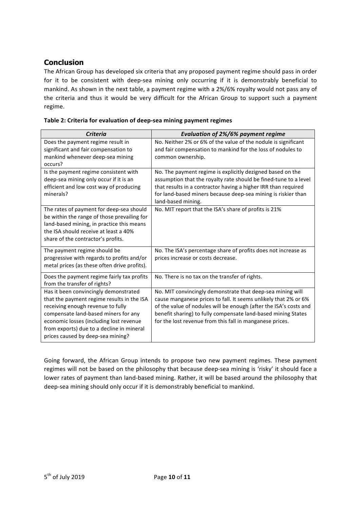## **Conclusion**

metal prices (as these often drive profits).

Does the payment regime fairly tax profits

Has it been convincingly demonstrated that the payment regime results in the ISA

receiving enough revenue to fully compensate land-based miners for any economic losses (including lost revenue from exports) due to a decline in mineral prices caused by deep-sea mining?

from the transfer of rights?

The African Group has developed six criteria that any proposed payment regime should pass in order for it to be consistent with deep-sea mining only occurring if it is demonstrably beneficial to mankind. As shown in the next table, a payment regime with a 2%/6% royalty would not pass any of the criteria and thus it would be very difficult for the African Group to support such a payment regime.

| <b>Criteria</b>                             | <b>Evaluation of 2%/6% payment regime</b>                        |  |  |  |
|---------------------------------------------|------------------------------------------------------------------|--|--|--|
| Does the payment regime result in           | No. Neither 2% or 6% of the value of the nodule is significant   |  |  |  |
| significant and fair compensation to        | and fair compensation to mankind for the loss of nodules to      |  |  |  |
| mankind whenever deep-sea mining            | common ownership.                                                |  |  |  |
| occurs?                                     |                                                                  |  |  |  |
| Is the payment regime consistent with       | No. The payment regime is explicitly dezigned based on the       |  |  |  |
| deep-sea mining only occur if it is an      | assumption that the royalty rate should be fined-tune to a level |  |  |  |
| efficient and low cost way of producing     | that results in a contractor having a higher IRR than required   |  |  |  |
| minerals?                                   | for land-based miners because deep-sea mining is riskier than    |  |  |  |
|                                             | land-based mining.                                               |  |  |  |
| The rates of payment for deep-sea should    | No. MIT report that the ISA's share of profits is 21%            |  |  |  |
| be within the range of those prevailing for |                                                                  |  |  |  |
| land-based mining, in practice this means   |                                                                  |  |  |  |
| the ISA should receive at least a 40%       |                                                                  |  |  |  |
| share of the contractor's profits.          |                                                                  |  |  |  |
| The payment regime should be                | No. The ISA's percentage share of profits does not increase as   |  |  |  |
| progressive with regards to profits and/or  | prices increase or costs decrease.                               |  |  |  |

|  | Table 2: Criteria for evaluation of deep-sea mining payment regimes |  |
|--|---------------------------------------------------------------------|--|
|  |                                                                     |  |

Going forward, the African Group intends to propose two new payment regimes. These payment regimes will not be based on the philosophy that because deep-sea mining is 'risky' it should face a lower rates of payment than land-based mining. Rather, it will be based around the philosophy that deep-sea mining should only occur if it is demonstrably beneficial to mankind.

No. There is no tax on the transfer of rights.

No. MIT convincingly demonstrate that deep-sea mining will cause manganese prices to fall. It seems unlikely that 2% or 6% of the value of nodules will be enough (after the ISA's costs and benefit sharing) to fully compensate land-based mining States for the lost revenue from this fall in manganese prices.